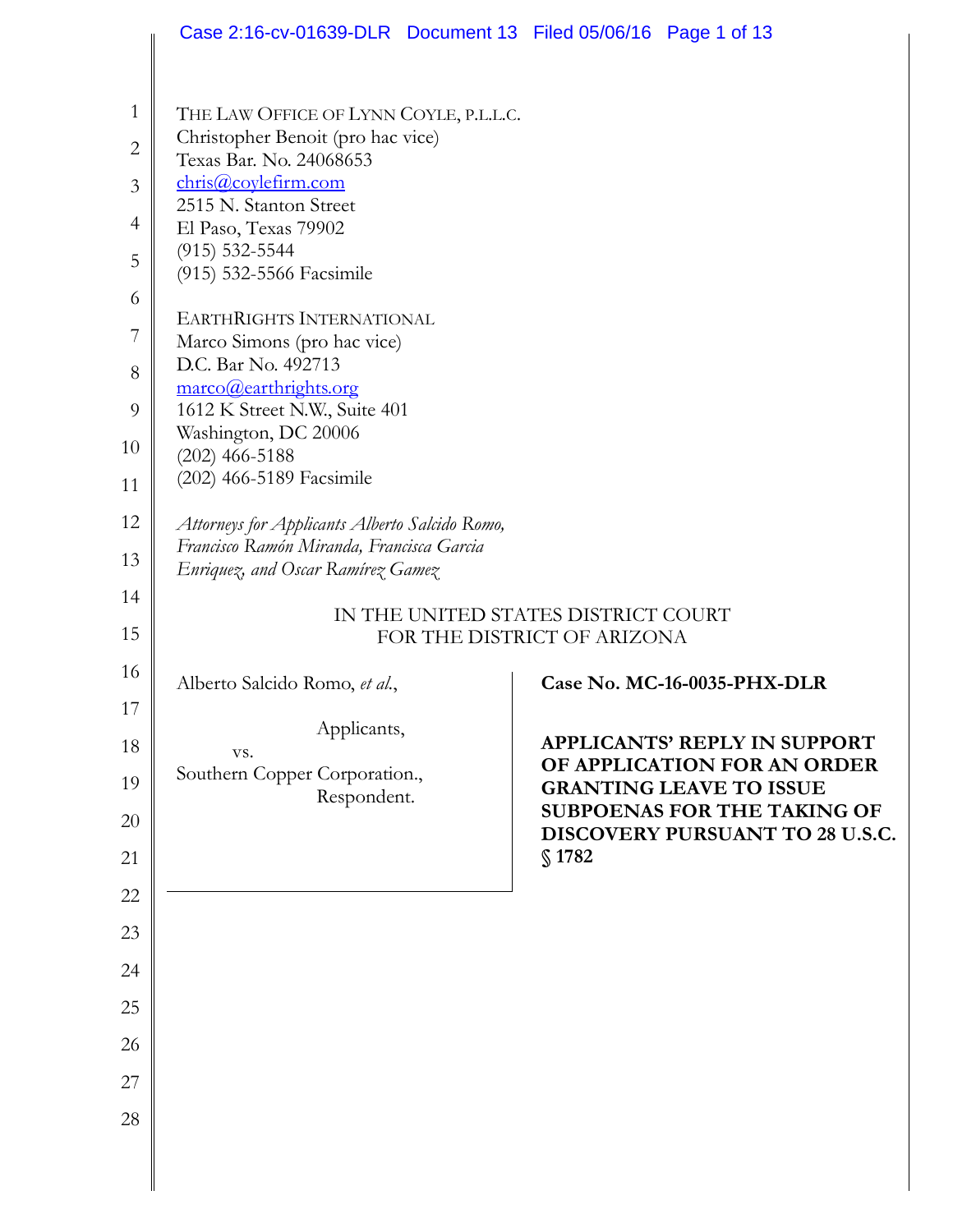|                | Case 2:16-cv-01639-DLR Document 13 Filed 05/06/16 Page 1 of 13                              |                                                                       |
|----------------|---------------------------------------------------------------------------------------------|-----------------------------------------------------------------------|
|                |                                                                                             |                                                                       |
| 1              | THE LAW OFFICE OF LYNN COYLE, P.L.L.C.                                                      |                                                                       |
| $\mathbf{2}$   | Christopher Benoit (pro hac vice)<br>Texas Bar. No. 24068653                                |                                                                       |
| 3              | chris@coylefirm.com                                                                         |                                                                       |
| $\overline{4}$ | 2515 N. Stanton Street<br>El Paso, Texas 79902                                              |                                                                       |
| 5              | $(915) 532 - 5544$                                                                          |                                                                       |
| 6              | (915) 532-5566 Facsimile                                                                    |                                                                       |
| 7              | <b>EARTHRIGHTS INTERNATIONAL</b>                                                            |                                                                       |
| 8              | Marco Simons (pro hac vice)<br>D.C. Bar No. 492713                                          |                                                                       |
| 9              | marco@earthrights.org<br>1612 K Street N.W., Suite 401                                      |                                                                       |
| 10             | Washington, DC 20006                                                                        |                                                                       |
|                | $(202)$ 466-5188<br>(202) 466-5189 Facsimile                                                |                                                                       |
| 11             |                                                                                             |                                                                       |
| 12             | Attorneys for Applicants Alberto Salcido Romo,<br>Francisco Ramón Miranda, Francisca Garcia |                                                                       |
| 13             | Enriquez, and Oscar Ramírez Gamez                                                           |                                                                       |
| 14             |                                                                                             | IN THE UNITED STATES DISTRICT COURT                                   |
| 15             |                                                                                             | FOR THE DISTRICT OF ARIZONA                                           |
| 16             | Alberto Salcido Romo, et al.,                                                               | Case No. MC-16-0035-PHX-DLR                                           |
| 17             | Applicants,                                                                                 |                                                                       |
| 18             | VS.                                                                                         | <b>APPLICANTS' REPLY IN SUPPORT</b><br>OF APPLICATION FOR AN ORDER    |
| 19             | Southern Copper Corporation.,<br>Respondent.                                                | <b>GRANTING LEAVE TO ISSUE</b>                                        |
| 20             |                                                                                             | <b>SUBPOENAS FOR THE TAKING OF</b><br>DISCOVERY PURSUANT TO 28 U.S.C. |
| 21             |                                                                                             | \$1782                                                                |
| 22             |                                                                                             |                                                                       |
| 23             |                                                                                             |                                                                       |
| 24             |                                                                                             |                                                                       |
| 25             |                                                                                             |                                                                       |
| 26             |                                                                                             |                                                                       |
| 27             |                                                                                             |                                                                       |
| 28             |                                                                                             |                                                                       |
|                |                                                                                             |                                                                       |
|                |                                                                                             |                                                                       |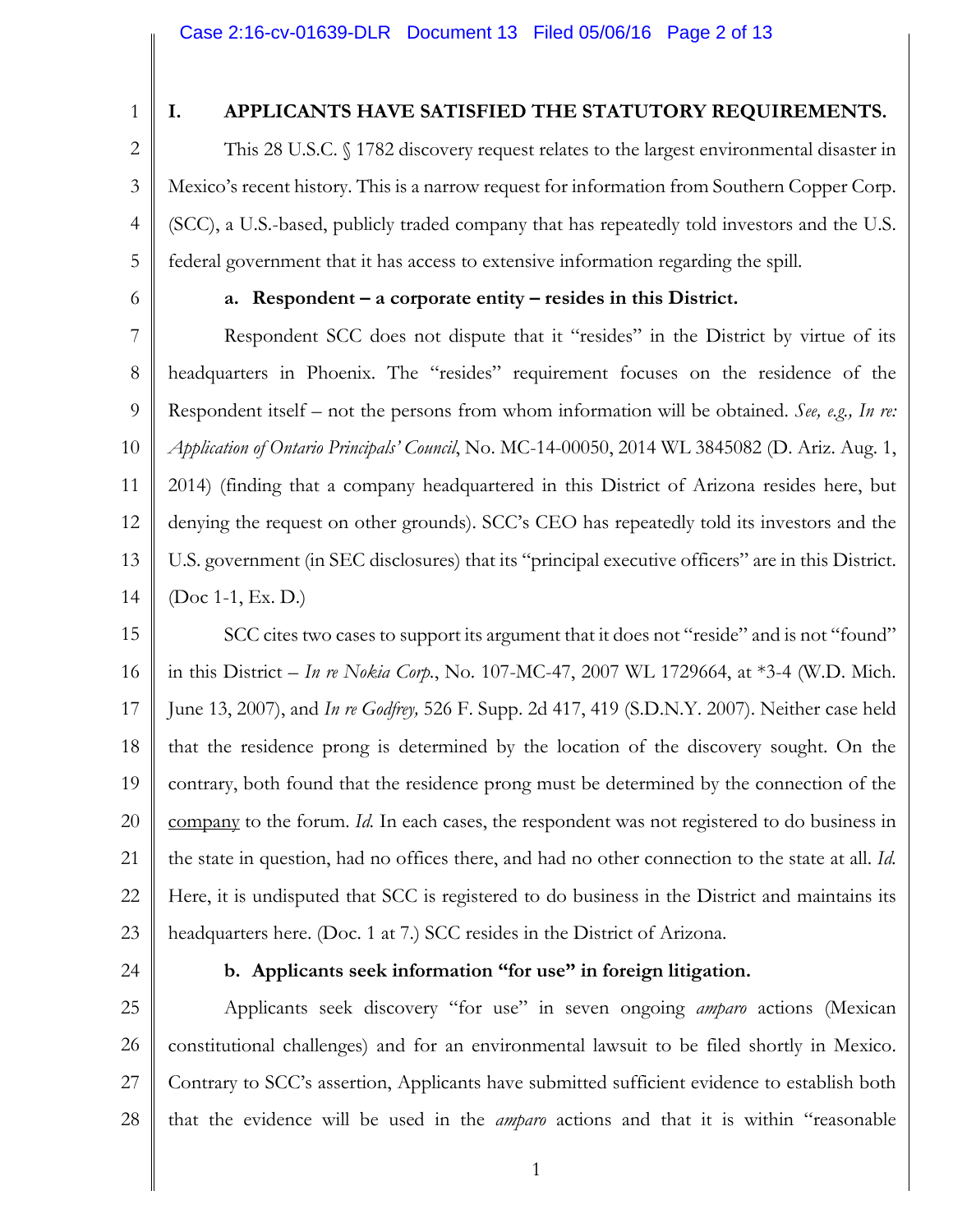1

2

3

### **I. APPLICANTS HAVE SATISFIED THE STATUTORY REQUIREMENTS.**

4 This 28 U.S.C. § 1782 discovery request relates to the largest environmental disaster in Mexico's recent history. This is a narrow request for information from Southern Copper Corp. (SCC), a U.S.-based, publicly traded company that has repeatedly told investors and the U.S. federal government that it has access to extensive information regarding the spill.

6

5

#### **a. Respondent – a corporate entity – resides in this District.**

7 8 9 10 11 12 13 14 Respondent SCC does not dispute that it "resides" in the District by virtue of its headquarters in Phoenix. The "resides" requirement focuses on the residence of the Respondent itself – not the persons from whom information will be obtained. *See, e.g., In re: Application of Ontario Principals' Council*, No. MC-14-00050, 2014 WL 3845082 (D. Ariz. Aug. 1, 2014) (finding that a company headquartered in this District of Arizona resides here, but denying the request on other grounds). SCC's CEO has repeatedly told its investors and the U.S. government (in SEC disclosures) that its "principal executive officers" are in this District. (Doc 1-1, Ex. D.)

15 16 17 18 19 20 21 22 23 SCC cites two cases to support its argument that it does not "reside" and is not "found" in this District – *In re Nokia Corp.*, No. 107-MC-47, 2007 WL 1729664, at \*3-4 (W.D. Mich. June 13, 2007), and *In re Godfrey,* 526 F. Supp. 2d 417, 419 (S.D.N.Y. 2007). Neither case held that the residence prong is determined by the location of the discovery sought. On the contrary, both found that the residence prong must be determined by the connection of the company to the forum. *Id.* In each cases, the respondent was not registered to do business in the state in question, had no offices there, and had no other connection to the state at all. *Id.* Here, it is undisputed that SCC is registered to do business in the District and maintains its headquarters here. (Doc. 1 at 7.) SCC resides in the District of Arizona.

24

#### **b. Applicants seek information "for use" in foreign litigation.**

25 26 27 28 Applicants seek discovery "for use" in seven ongoing *amparo* actions (Mexican constitutional challenges) and for an environmental lawsuit to be filed shortly in Mexico. Contrary to SCC's assertion, Applicants have submitted sufficient evidence to establish both that the evidence will be used in the *amparo* actions and that it is within "reasonable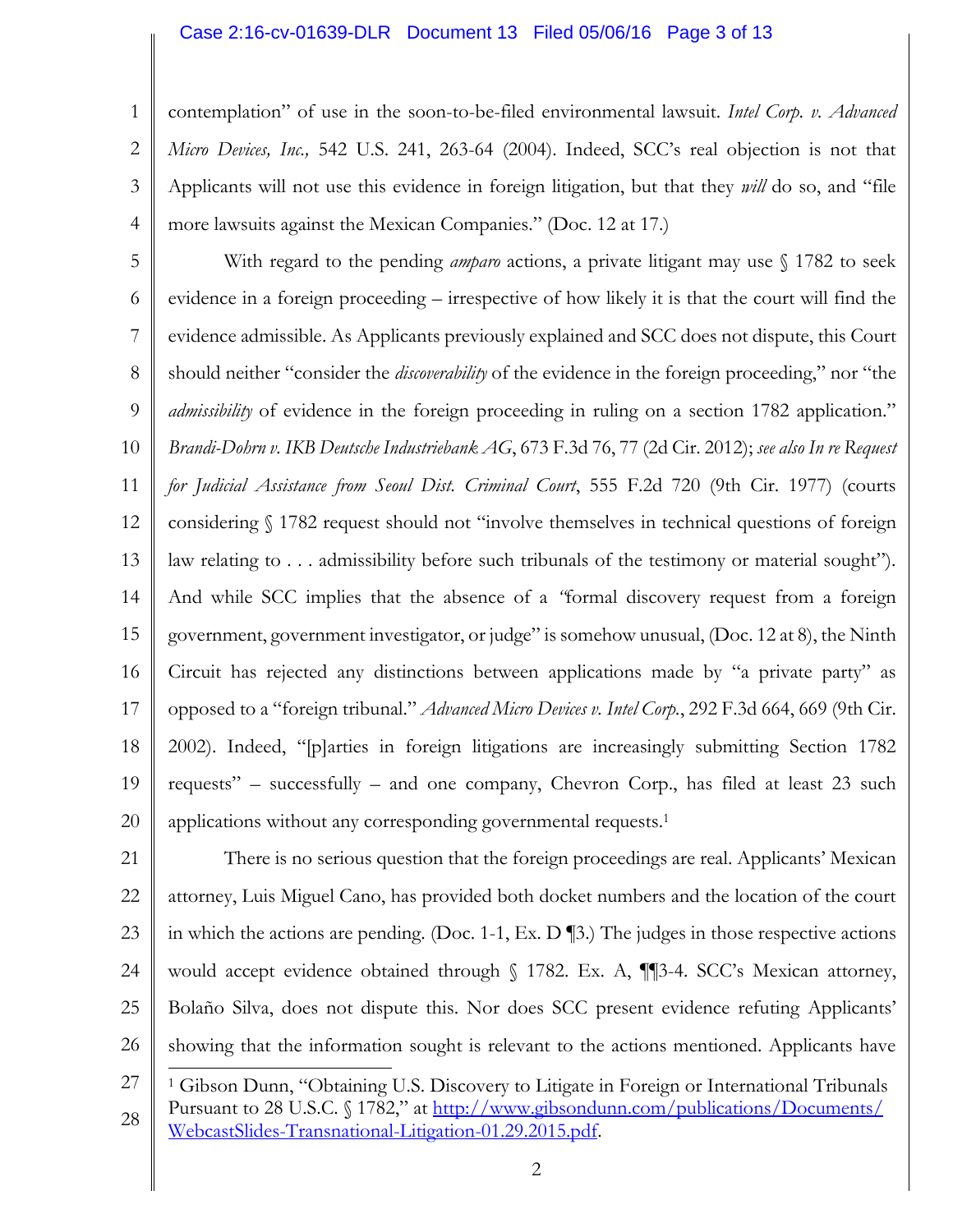#### Case 2:16-cv-01639-DLR Document 13 Filed 05/06/16 Page 3 of 13

1 2 3 4 contemplation" of use in the soon-to-be-filed environmental lawsuit. *Intel Corp. v. Advanced Micro Devices, Inc.,* 542 U.S. 241, 263-64 (2004). Indeed, SCC's real objection is not that Applicants will not use this evidence in foreign litigation, but that they *will* do so, and "file more lawsuits against the Mexican Companies." (Doc. 12 at 17.)

5 6 7 8 9 10 11 12 13 14 15 16 17 18 19 20 With regard to the pending *amparo* actions, a private litigant may use § 1782 to seek evidence in a foreign proceeding – irrespective of how likely it is that the court will find the evidence admissible. As Applicants previously explained and SCC does not dispute, this Court should neither "consider the *discoverability* of the evidence in the foreign proceeding," nor "the *admissibility* of evidence in the foreign proceeding in ruling on a section 1782 application." *Brandi-Dohrn v. IKB Deutsche Industriebank AG*, 673 F.3d 76, 77 (2d Cir. 2012); *see also In re Request for Judicial Assistance from Seoul Dist. Criminal Court*, 555 F.2d 720 (9th Cir. 1977) (courts considering § 1782 request should not "involve themselves in technical questions of foreign law relating to ... admissibility before such tribunals of the testimony or material sought"). And while SCC implies that the absence of a *"*formal discovery request from a foreign government, government investigator, or judge" is somehow unusual, (Doc. 12 at 8), the Ninth Circuit has rejected any distinctions between applications made by "a private party" as opposed to a "foreign tribunal." *Advanced Micro Devices v. Intel Corp.*, 292 F.3d 664, 669 (9th Cir. 2002). Indeed, "[p]arties in foreign litigations are increasingly submitting Section 1782 requests" – successfully – and one company, Chevron Corp., has filed at least 23 such applications without any corresponding governmental requests. 1

21 22 23 24 25 26 There is no serious question that the foreign proceedings are real. Applicants' Mexican attorney, Luis Miguel Cano, has provided both docket numbers and the location of the court in which the actions are pending. (Doc. 1-1, Ex. D ¶3.) The judges in those respective actions would accept evidence obtained through  $\S$  1782. Ex. A, ¶[3-4. SCC's Mexican attorney, Bolaño Silva, does not dispute this. Nor does SCC present evidence refuting Applicants' showing that the information sought is relevant to the actions mentioned. Applicants have  $\overline{a}$ 

<sup>27</sup> 28 <sup>1</sup> Gibson Dunn, "Obtaining U.S. Discovery to Litigate in Foreign or International Tribunals Pursuant to 28 U.S.C. § 1782," at http://www.gibsondunn.com/publications/Documents/ [WebcastSlides-Transnational-Litigation-01.29.2015.pdf.](www.gibsondunn.com/publications/Documents/%20WebcastSlides-Transnational-Litigation-01.29.2015.pdf)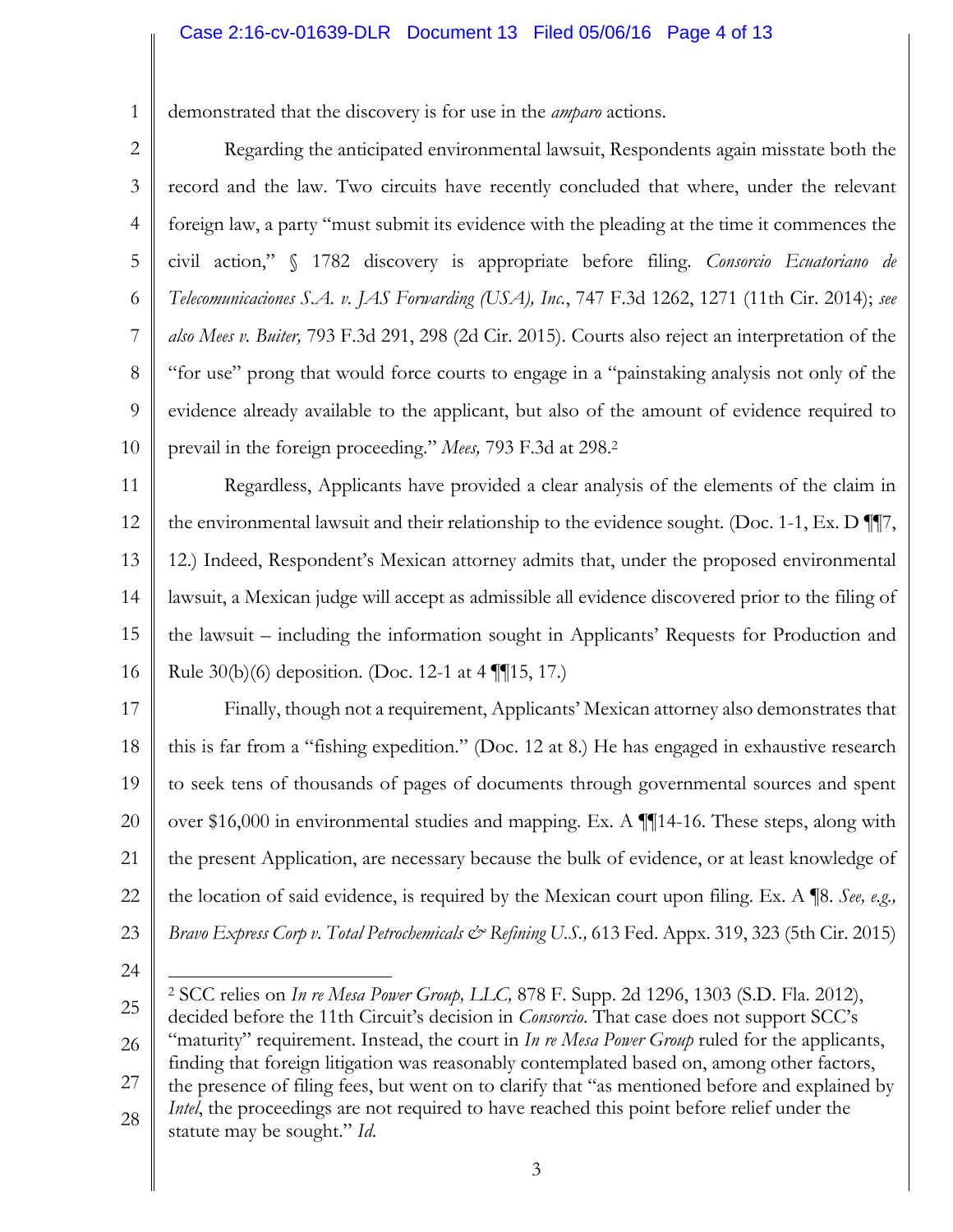#### Case 2:16-cv-01639-DLR Document 13 Filed 05/06/16 Page 4 of 13

1 demonstrated that the discovery is for use in the *amparo* actions.

2

3 4 5 6 7 8 9 10 Regarding the anticipated environmental lawsuit, Respondents again misstate both the record and the law. Two circuits have recently concluded that where, under the relevant foreign law, a party "must submit its evidence with the pleading at the time it commences the civil action," § 1782 discovery is appropriate before filing. *Consorcio Ecuatoriano de Telecomunicaciones S.A. v. JAS Forwarding (USA), Inc.*, 747 F.3d 1262, 1271 (11th Cir. 2014); *see also Mees v. Buiter,* 793 F.3d 291, 298 (2d Cir. 2015). Courts also reject an interpretation of the "for use" prong that would force courts to engage in a "painstaking analysis not only of the evidence already available to the applicant, but also of the amount of evidence required to prevail in the foreign proceeding." *Mees,* 793 F.3d at 298. 2

11 12 13 14 15 16 Regardless, Applicants have provided a clear analysis of the elements of the claim in the environmental lawsuit and their relationship to the evidence sought. (Doc. 1-1, Ex. D ¶¶7, 12.) Indeed, Respondent's Mexican attorney admits that, under the proposed environmental lawsuit, a Mexican judge will accept as admissible all evidence discovered prior to the filing of the lawsuit – including the information sought in Applicants' Requests for Production and Rule 30(b)(6) deposition. (Doc. 12-1 at 4 ¶¶15, 17.)

17 18 19 20 21 22 23 Finally, though not a requirement, Applicants' Mexican attorney also demonstrates that this is far from a "fishing expedition." (Doc. 12 at 8.) He has engaged in exhaustive research to seek tens of thousands of pages of documents through governmental sources and spent over \$16,000 in environmental studies and mapping. Ex. A ¶¶14-16. These steps, along with the present Application, are necessary because the bulk of evidence, or at least knowledge of the location of said evidence, is required by the Mexican court upon filing. Ex. A ¶8. *See, e.g., Bravo Express Corp v. Total Petrochemicals & Refining U.S.,* 613 Fed. Appx. 319, 323 (5th Cir. 2015)

24

27 28 finding that foreign litigation was reasonably contemplated based on, among other factors, the presence of filing fees, but went on to clarify that "as mentioned before and explained by *Intel*, the proceedings are not required to have reached this point before relief under the statute may be sought." *Id*.

<sup>25</sup> 26  $\overline{a}$ <sup>2</sup> SCC relies on *In re Mesa Power Group, LLC,* 878 F. Supp. 2d 1296, 1303 (S.D. Fla. 2012), decided before the 11th Circuit's decision in *Consorcio*. That case does not support SCC's "maturity" requirement. Instead, the court in *In re Mesa Power Group* ruled for the applicants,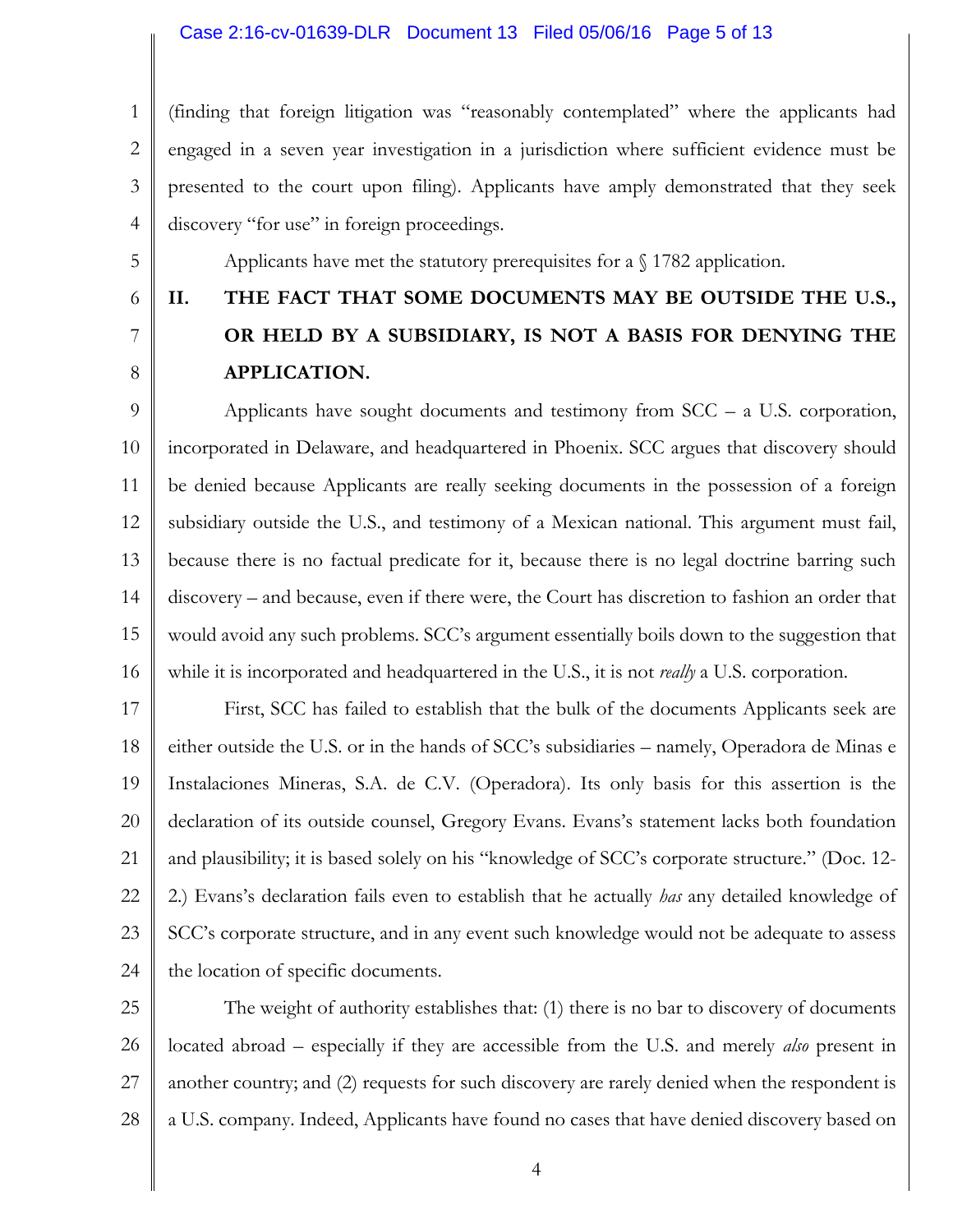#### Case 2:16-cv-01639-DLR Document 13 Filed 05/06/16 Page 5 of 13

1 2 3 4 (finding that foreign litigation was "reasonably contemplated" where the applicants had engaged in a seven year investigation in a jurisdiction where sufficient evidence must be presented to the court upon filing). Applicants have amply demonstrated that they seek discovery "for use" in foreign proceedings.

Applicants have met the statutory prerequisites for a § 1782 application.

- 5
- 6
- 7

8

# **II. THE FACT THAT SOME DOCUMENTS MAY BE OUTSIDE THE U.S., OR HELD BY A SUBSIDIARY, IS NOT A BASIS FOR DENYING THE APPLICATION.**

9 10 11 12 13 14 15 16 Applicants have sought documents and testimony from SCC – a U.S. corporation, incorporated in Delaware, and headquartered in Phoenix. SCC argues that discovery should be denied because Applicants are really seeking documents in the possession of a foreign subsidiary outside the U.S., and testimony of a Mexican national. This argument must fail, because there is no factual predicate for it, because there is no legal doctrine barring such discovery – and because, even if there were, the Court has discretion to fashion an order that would avoid any such problems. SCC's argument essentially boils down to the suggestion that while it is incorporated and headquartered in the U.S., it is not *really* a U.S. corporation.

17 18 19 20 21 22 23 24 First, SCC has failed to establish that the bulk of the documents Applicants seek are either outside the U.S. or in the hands of SCC's subsidiaries – namely, Operadora de Minas e Instalaciones Mineras, S.A. de C.V. (Operadora). Its only basis for this assertion is the declaration of its outside counsel, Gregory Evans. Evans's statement lacks both foundation and plausibility; it is based solely on his "knowledge of SCC's corporate structure." (Doc. 12- 2.) Evans's declaration fails even to establish that he actually *has* any detailed knowledge of SCC's corporate structure, and in any event such knowledge would not be adequate to assess the location of specific documents.

25 26 27 28 The weight of authority establishes that: (1) there is no bar to discovery of documents located abroad – especially if they are accessible from the U.S. and merely *also* present in another country; and (2) requests for such discovery are rarely denied when the respondent is a U.S. company. Indeed, Applicants have found no cases that have denied discovery based on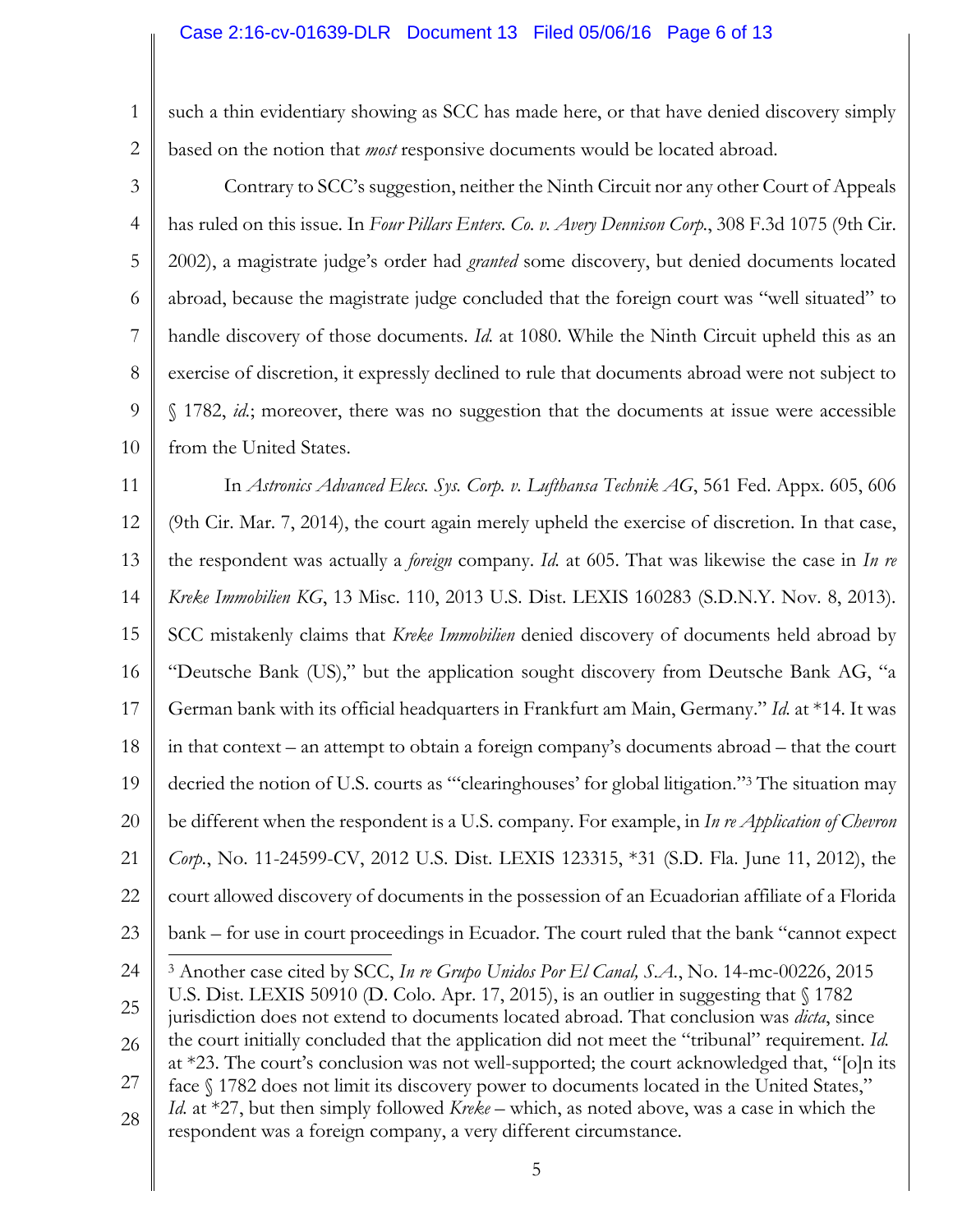#### Case 2:16-cv-01639-DLR Document 13 Filed 05/06/16 Page 6 of 13

1 2 such a thin evidentiary showing as SCC has made here, or that have denied discovery simply based on the notion that *most* responsive documents would be located abroad.

3 4 5 6 7 8 9 10 Contrary to SCC's suggestion, neither the Ninth Circuit nor any other Court of Appeals has ruled on this issue. In *Four Pillars Enters. Co. v. Avery Dennison Corp.*, 308 F.3d 1075 (9th Cir. 2002), a magistrate judge's order had *granted* some discovery, but denied documents located abroad, because the magistrate judge concluded that the foreign court was "well situated" to handle discovery of those documents. *Id.* at 1080. While the Ninth Circuit upheld this as an exercise of discretion, it expressly declined to rule that documents abroad were not subject to § 1782, *id.*; moreover, there was no suggestion that the documents at issue were accessible from the United States.

11 12 13 14 15 16 17 18 19 20 21 22 23 24 25 26 27 In *Astronics Advanced Elecs. Sys. Corp. v. Lufthansa Technik AG*, 561 Fed. Appx. 605, 606 (9th Cir. Mar. 7, 2014), the court again merely upheld the exercise of discretion. In that case, the respondent was actually a *foreign* company. *Id.* at 605. That was likewise the case in *In re Kreke Immobilien KG*, 13 Misc. 110, 2013 U.S. Dist. LEXIS 160283 (S.D.N.Y. Nov. 8, 2013). SCC mistakenly claims that *Kreke Immobilien* denied discovery of documents held abroad by "Deutsche Bank (US)," but the application sought discovery from Deutsche Bank AG, "a German bank with its official headquarters in Frankfurt am Main, Germany." *Id.* at \*14. It was in that context – an attempt to obtain a foreign company's documents abroad – that the court decried the notion of U.S. courts as "'clearinghouses' for global litigation." <sup>3</sup> The situation may be different when the respondent is a U.S. company. For example, in *In re Application of Chevron Corp.*, No. 11-24599-CV, 2012 U.S. Dist. LEXIS 123315, \*31 (S.D. Fla. June 11, 2012), the court allowed discovery of documents in the possession of an Ecuadorian affiliate of a Florida bank – for use in court proceedings in Ecuador. The court ruled that the bank "cannot expect  $\overline{a}$ <sup>3</sup> Another case cited by SCC, *In re Grupo Unidos Por El Canal, S.A.*, No. 14-mc-00226, 2015 U.S. Dist. LEXIS 50910 (D. Colo. Apr. 17, 2015), is an outlier in suggesting that  $\sqrt{1782}$ jurisdiction does not extend to documents located abroad. That conclusion was *dicta*, since the court initially concluded that the application did not meet the "tribunal" requirement. *Id.* at \*23. The court's conclusion was not well-supported; the court acknowledged that, "[o]n its face  $\int$  1782 does not limit its discovery power to documents located in the United States,"

28 *Id.* at \*27, but then simply followed *Kreke* – which, as noted above, was a case in which the respondent was a foreign company, a very different circumstance.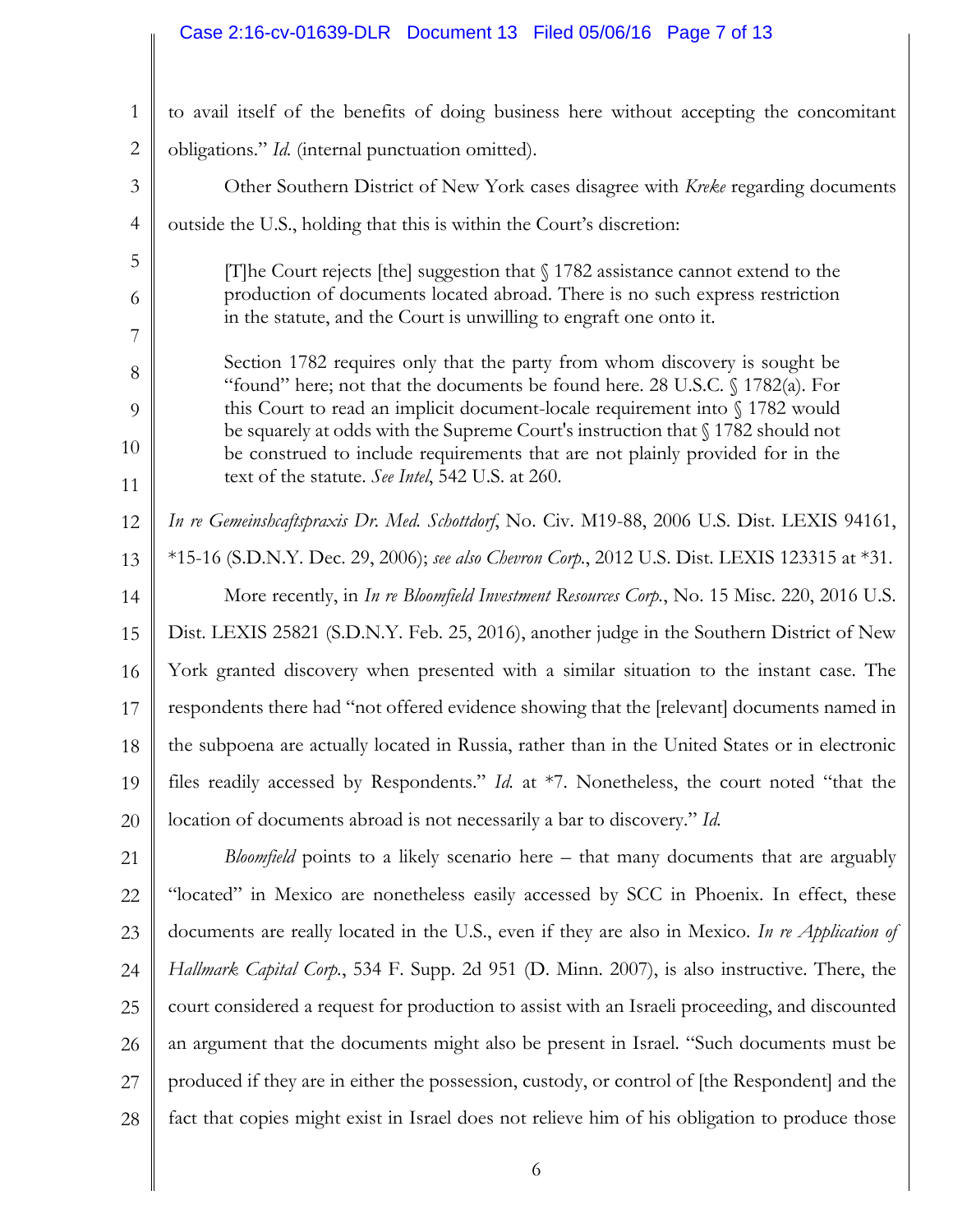#### Case 2:16-cv-01639-DLR Document 13 Filed 05/06/16 Page 7 of 13

| $\mathbf{1}$   | to avail itself of the benefits of doing business here without accepting the concomitant                                                                         |  |
|----------------|------------------------------------------------------------------------------------------------------------------------------------------------------------------|--|
| $\mathbf{2}$   | obligations." Id. (internal punctuation omitted).                                                                                                                |  |
| 3              | Other Southern District of New York cases disagree with Kreke regarding documents                                                                                |  |
| $\overline{4}$ | outside the U.S., holding that this is within the Court's discretion:                                                                                            |  |
| 5              | [T] he Court rejects [the] suggestion that $\int$ 1782 assistance cannot extend to the                                                                           |  |
| 6              | production of documents located abroad. There is no such express restriction                                                                                     |  |
| 7              | in the statute, and the Court is unwilling to engraft one onto it.                                                                                               |  |
| 8              | Section 1782 requires only that the party from whom discovery is sought be<br>"found" here; not that the documents be found here. 28 U.S.C. § 1782(a). For       |  |
| 9              | this Court to read an implicit document-locale requirement into $\S$ 1782 would                                                                                  |  |
| 10             | be squarely at odds with the Supreme Court's instruction that § 1782 should not<br>be construed to include requirements that are not plainly provided for in the |  |
| 11             | text of the statute. See Intel, 542 U.S. at 260.                                                                                                                 |  |
| 12             | In re Gemeinshcaftspraxis Dr. Med. Schottdorf, No. Civ. M19-88, 2006 U.S. Dist. LEXIS 94161,                                                                     |  |
| 13             | *15-16 (S.D.N.Y. Dec. 29, 2006); see also Chevron Corp., 2012 U.S. Dist. LEXIS 123315 at *31.                                                                    |  |
| 14             | More recently, in In re Bloomfield Investment Resources Corp., No. 15 Misc. 220, 2016 U.S.                                                                       |  |
| 15             | Dist. LEXIS 25821 (S.D.N.Y. Feb. 25, 2016), another judge in the Southern District of New                                                                        |  |
| 16             | York granted discovery when presented with a similar situation to the instant case. The                                                                          |  |
| 17             | respondents there had "not offered evidence showing that the [relevant] documents named in                                                                       |  |
| 18             | the subpoena are actually located in Russia, rather than in the United States or in electronic                                                                   |  |
| 19             | files readily accessed by Respondents." Id. at *7. Nonetheless, the court noted "that the                                                                        |  |
| 20             | location of documents abroad is not necessarily a bar to discovery." Id.                                                                                         |  |
| 21             | Bloomfield points to a likely scenario here - that many documents that are arguably                                                                              |  |
| 22             | "located" in Mexico are nonetheless easily accessed by SCC in Phoenix. In effect, these                                                                          |  |
| 23             | documents are really located in the U.S., even if they are also in Mexico. In re Application of                                                                  |  |

6

*Hallmark Capital Corp.*, 534 F. Supp. 2d 951 (D. Minn. 2007), is also instructive. There, the

court considered a request for production to assist with an Israeli proceeding, and discounted

an argument that the documents might also be present in Israel. "Such documents must be

produced if they are in either the possession, custody, or control of [the Respondent] and the

fact that copies might exist in Israel does not relieve him of his obligation to produce those

24

25

26

27

28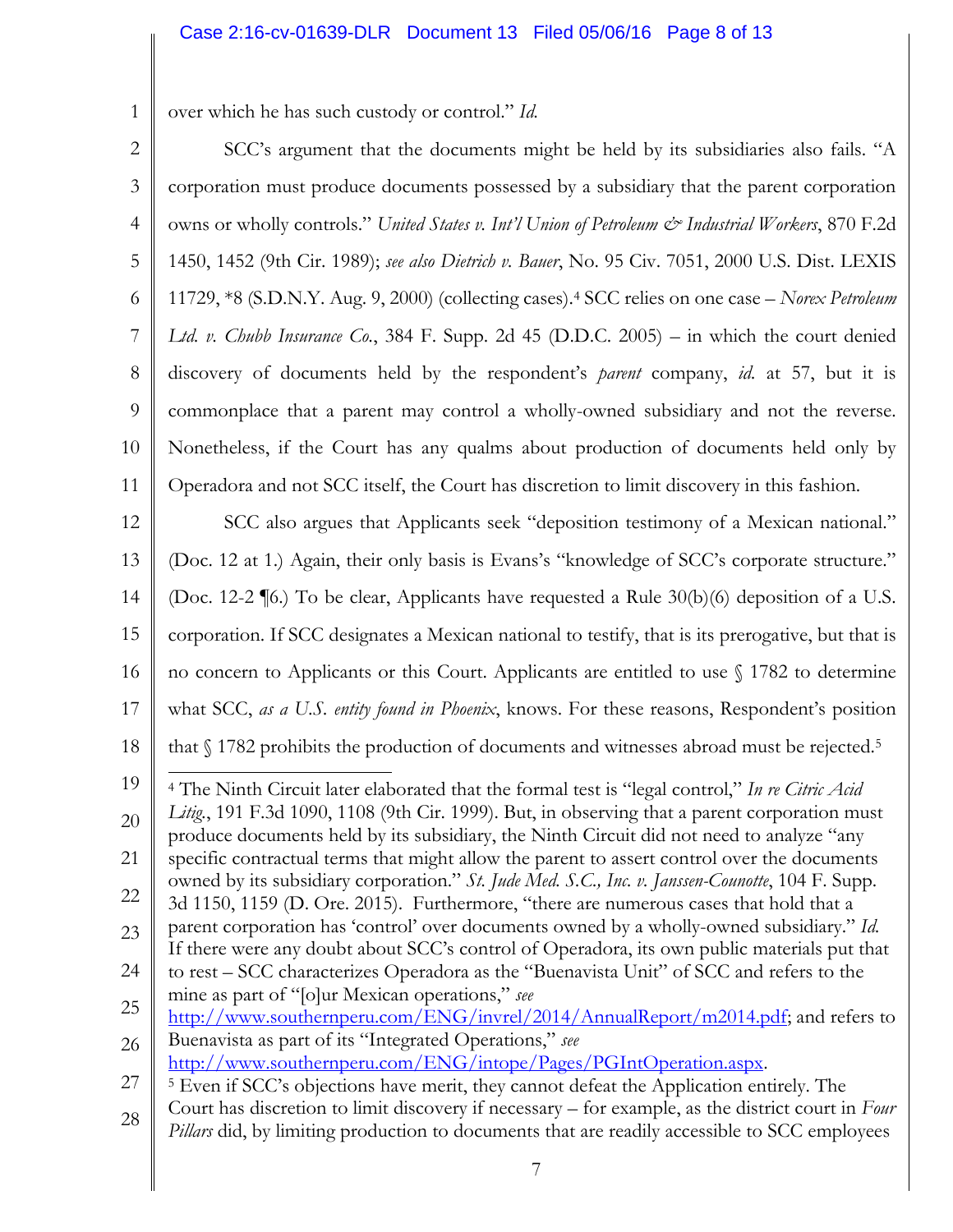1 over which he has such custody or control." *Id.*

2 3 4 5 6 7 8 9 10 11 12 13 14 15 16 17 18 19 20 21 22 23 24 25 26 27 28 SCC's argument that the documents might be held by its subsidiaries also fails. "A corporation must produce documents possessed by a subsidiary that the parent corporation owns or wholly controls." *United States v. Int'l Union of Petroleum*  $\mathcal{Q}$  *Industrial Workers*, 870 F.2d 1450, 1452 (9th Cir. 1989); *see also Dietrich v. Bauer*, No. 95 Civ. 7051, 2000 U.S. Dist. LEXIS 11729, \*8 (S.D.N.Y. Aug. 9, 2000) (collecting cases).<sup>4</sup> SCC relies on one case – *Norex Petroleum Ltd. v. Chubb Insurance Co.*, 384 F. Supp. 2d 45 (D.D.C. 2005) – in which the court denied discovery of documents held by the respondent's *parent* company, *id.* at 57, but it is commonplace that a parent may control a wholly-owned subsidiary and not the reverse. Nonetheless, if the Court has any qualms about production of documents held only by Operadora and not SCC itself, the Court has discretion to limit discovery in this fashion. SCC also argues that Applicants seek "deposition testimony of a Mexican national." (Doc. 12 at 1.) Again, their only basis is Evans's "knowledge of SCC's corporate structure." (Doc. 12-2 ¶6.) To be clear, Applicants have requested a Rule 30(b)(6) deposition of a U.S. corporation. If SCC designates a Mexican national to testify, that is its prerogative, but that is no concern to Applicants or this Court. Applicants are entitled to use § 1782 to determine what SCC, *as a U.S. entity found in Phoenix*, knows. For these reasons, Respondent's position that § 1782 prohibits the production of documents and witnesses abroad must be rejected.<sup>5</sup>  $\overline{a}$ <sup>4</sup> The Ninth Circuit later elaborated that the formal test is "legal control," *In re Citric Acid Litig.*, 191 F.3d 1090, 1108 (9th Cir. 1999). But, in observing that a parent corporation must produce documents held by its subsidiary, the Ninth Circuit did not need to analyze "any specific contractual terms that might allow the parent to assert control over the documents owned by its subsidiary corporation." *St. Jude Med. S.C., Inc. v. Janssen-Counotte*, 104 F. Supp. 3d 1150, 1159 (D. Ore. 2015). Furthermore, "there are numerous cases that hold that a parent corporation has 'control' over documents owned by a wholly-owned subsidiary." *Id.*  If there were any doubt about SCC's control of Operadora, its own public materials put that to rest – SCC characterizes Operadora as the "Buenavista Unit" of SCC and refers to the mine as part of "[o]ur Mexican operations," *see*  [http://www.southernperu.com/ENG/invrel/2014/AnnualReport/m2014.pdf;](www.southernperu.com/ENG/invrel/2014/AnnualReport/m2014.pdf) and refers to Buenavista as part of its "Integrated Operations," *see* [http://www.southernperu.com/ENG/intope/Pages/PGIntOperation.aspx.](http://www.southernperu.com/ENG/intope/Pages/PGIntOperation.aspx) <sup>5</sup> Even if SCC's objections have merit, they cannot defeat the Application entirely. The Court has discretion to limit discovery if necessary – for example, as the district court in *Four Pillars* did, by limiting production to documents that are readily accessible to SCC employees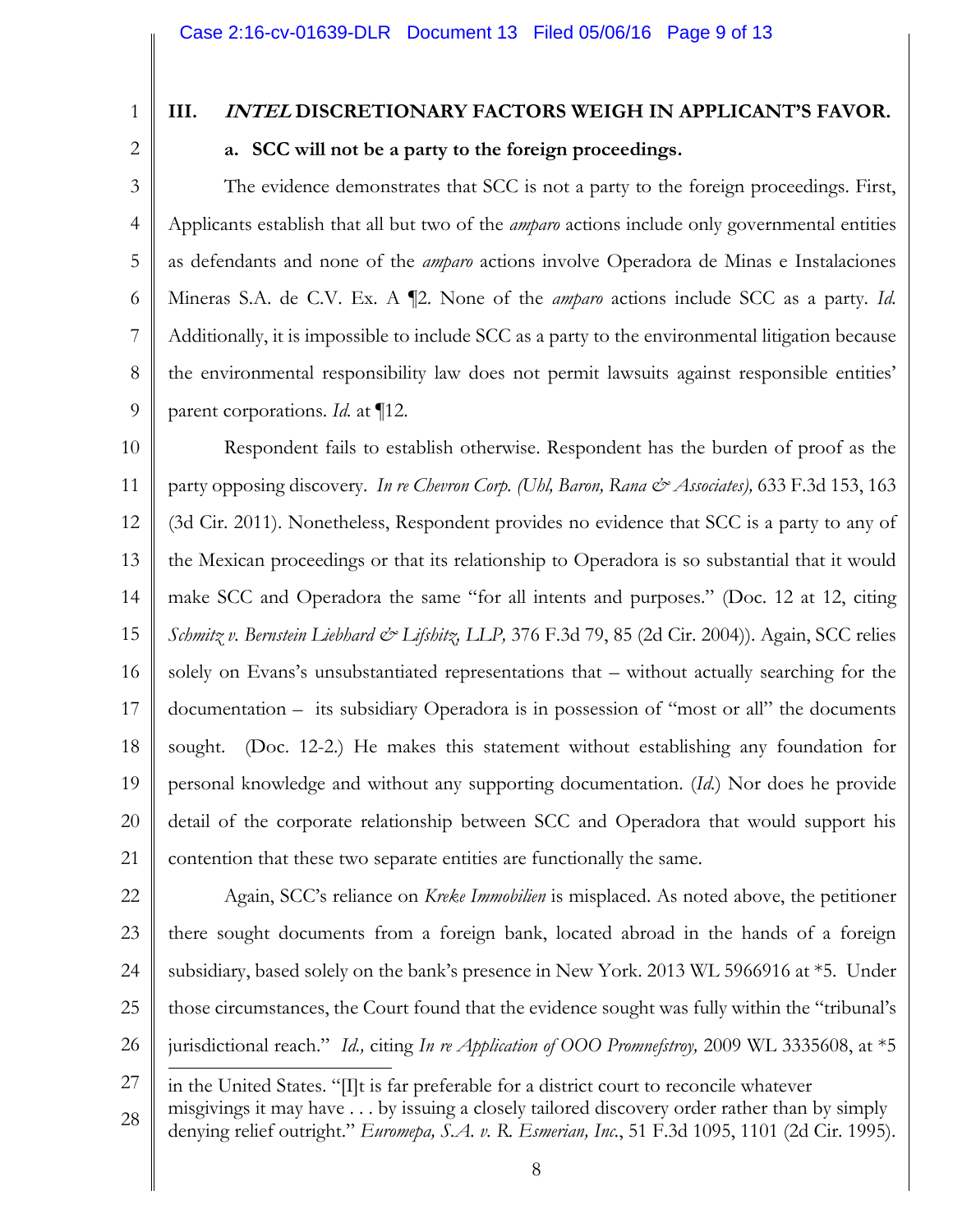1

## **III. INTEL DISCRETIONARY FACTORS WEIGH IN APPLICANT'S FAVOR.**

2

### **a. SCC will not be a party to the foreign proceedings.**

3 4 5 6 7 8 9 The evidence demonstrates that SCC is not a party to the foreign proceedings. First, Applicants establish that all but two of the *amparo* actions include only governmental entities as defendants and none of the *amparo* actions involve Operadora de Minas e Instalaciones Mineras S.A. de C.V. Ex. A ¶2. None of the *amparo* actions include SCC as a party. *Id.*  Additionally, it is impossible to include SCC as a party to the environmental litigation because the environmental responsibility law does not permit lawsuits against responsible entities' parent corporations. *Id.* at ¶12.

10 11 12 13 14 15 16 17 18 19 20 21 Respondent fails to establish otherwise. Respondent has the burden of proof as the party opposing discovery. *In re Chevron Corp. (Uhl, Baron, Rana & Associates),* 633 F.3d 153, 163 (3d Cir. 2011). Nonetheless, Respondent provides no evidence that SCC is a party to any of the Mexican proceedings or that its relationship to Operadora is so substantial that it would make SCC and Operadora the same "for all intents and purposes." (Doc. 12 at 12, citing *Schmitz v. Bernstein Liebhard & Lifshitz, LLP,* 376 F.3d 79, 85 (2d Cir. 2004)). Again, SCC relies solely on Evans's unsubstantiated representations that – without actually searching for the documentation – its subsidiary Operadora is in possession of "most or all" the documents sought. (Doc. 12-2.) He makes this statement without establishing any foundation for personal knowledge and without any supporting documentation. (*Id.*) Nor does he provide detail of the corporate relationship between SCC and Operadora that would support his contention that these two separate entities are functionally the same.

22 23 24 25 26 Again, SCC's reliance on *Kreke Immobilien* is misplaced. As noted above, the petitioner there sought documents from a foreign bank, located abroad in the hands of a foreign subsidiary, based solely on the bank's presence in New York. 2013 WL 5966916 at \*5. Under those circumstances, the Court found that the evidence sought was fully within the "tribunal's jurisdictional reach." *Id.,* citing *In re Application of OOO Promnefstroy,* 2009 WL 3335608, at \*5

<sup>27</sup> 28  $\overline{a}$ in the United States. "[I]t is far preferable for a district court to reconcile whatever misgivings it may have . . . by issuing a closely tailored discovery order rather than by simply denying relief outright." *Euromepa, S.A. v. R. Esmerian, Inc.*, 51 F.3d 1095, 1101 (2d Cir. 1995).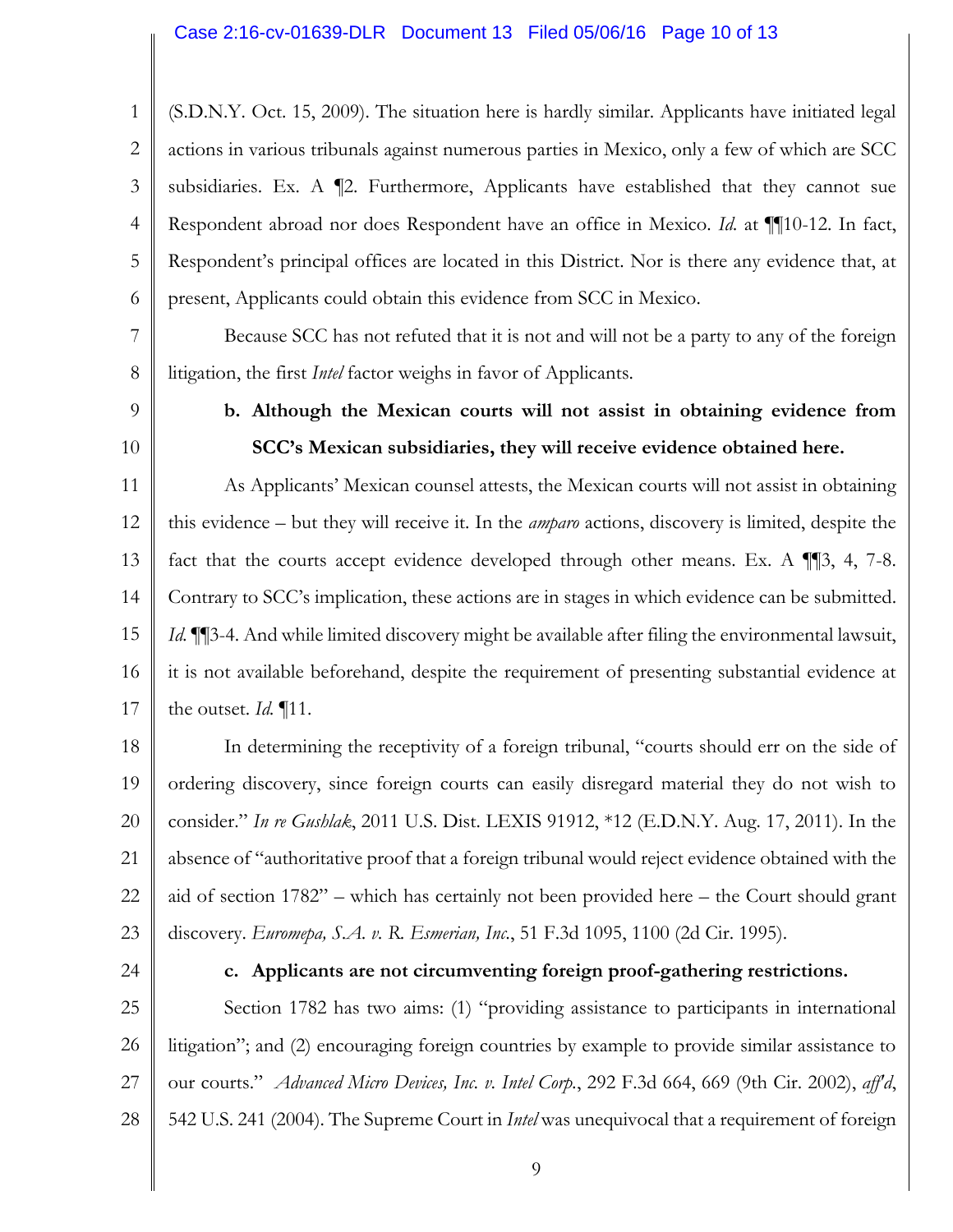1 2 3 4 5 6 (S.D.N.Y. Oct. 15, 2009). The situation here is hardly similar. Applicants have initiated legal actions in various tribunals against numerous parties in Mexico, only a few of which are SCC subsidiaries. Ex. A ¶2. Furthermore, Applicants have established that they cannot sue Respondent abroad nor does Respondent have an office in Mexico. *Id.* at ¶¶10-12. In fact, Respondent's principal offices are located in this District. Nor is there any evidence that, at present, Applicants could obtain this evidence from SCC in Mexico.

7 8 Because SCC has not refuted that it is not and will not be a party to any of the foreign litigation, the first *Intel* factor weighs in favor of Applicants.

9

10

## **b. Although the Mexican courts will not assist in obtaining evidence from SCC's Mexican subsidiaries, they will receive evidence obtained here.**

11 12 13 14 15 16 17 As Applicants' Mexican counsel attests, the Mexican courts will not assist in obtaining this evidence – but they will receive it. In the *amparo* actions, discovery is limited, despite the fact that the courts accept evidence developed through other means. Ex. A  $\P$ [3, 4, 7-8. Contrary to SCC's implication, these actions are in stages in which evidence can be submitted. *Id.* **[16**3-4. And while limited discovery might be available after filing the environmental lawsuit, it is not available beforehand, despite the requirement of presenting substantial evidence at the outset. *Id.* ¶11.

18 19 20 21 22 23 In determining the receptivity of a foreign tribunal, "courts should err on the side of ordering discovery, since foreign courts can easily disregard material they do not wish to consider." *In re Gushlak*, 2011 U.S. Dist. LEXIS 91912, \*12 (E.D.N.Y. Aug. 17, 2011). In the absence of "authoritative proof that a foreign tribunal would reject evidence obtained with the aid of section 1782" – which has certainly not been provided here – the Court should grant discovery. *Euromepa, S.A. v. R. Esmerian, Inc.*, 51 F.3d 1095, 1100 (2d Cir. 1995).

24

#### **c. Applicants are not circumventing foreign proof-gathering restrictions.**

25 26 27 28 Section 1782 has two aims: (1) "providing assistance to participants in international litigation"; and (2) encouraging foreign countries by example to provide similar assistance to our courts." *Advanced Micro Devices, Inc. v. Intel Corp.*, 292 F.3d 664, 669 (9th Cir. 2002), *aff'd*, 542 U.S. 241 (2004). The Supreme Court in *Intel* was unequivocal that a requirement of foreign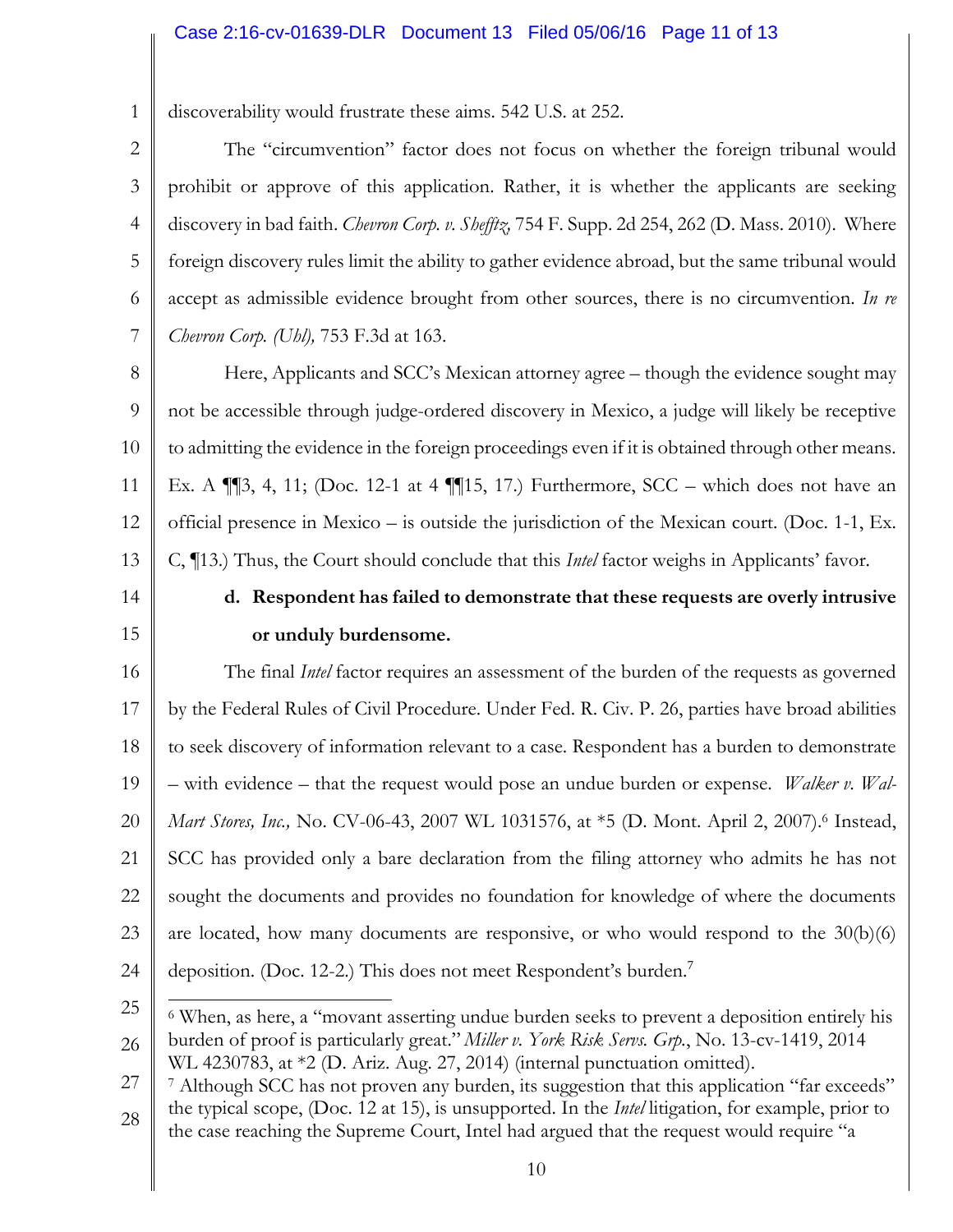#### Case 2:16-cv-01639-DLR Document 13 Filed 05/06/16 Page 11 of 13

1 discoverability would frustrate these aims. 542 U.S. at 252.

2 3 4 5 6 7 The "circumvention" factor does not focus on whether the foreign tribunal would prohibit or approve of this application. Rather, it is whether the applicants are seeking discovery in bad faith. *Chevron Corp. v. Shefftz,* 754 F. Supp. 2d 254, 262 (D. Mass. 2010). Where foreign discovery rules limit the ability to gather evidence abroad, but the same tribunal would accept as admissible evidence brought from other sources, there is no circumvention. *In re Chevron Corp. (Uhl),* 753 F.3d at 163.

8 9 10 11 12 13 Here, Applicants and SCC's Mexican attorney agree – though the evidence sought may not be accessible through judge-ordered discovery in Mexico, a judge will likely be receptive to admitting the evidence in the foreign proceedings even if it is obtained through other means. Ex. A ¶¶3, 4, 11; (Doc. 12-1 at 4 ¶¶15, 17.) Furthermore, SCC – which does not have an official presence in Mexico – is outside the jurisdiction of the Mexican court. (Doc. 1-1, Ex. C, ¶13.) Thus, the Court should conclude that this *Intel* factor weighs in Applicants' favor.

14

15

## **d. Respondent has failed to demonstrate that these requests are overly intrusive or unduly burdensome.**

16 17 18 19 20 21 22 23 24 The final *Intel* factor requires an assessment of the burden of the requests as governed by the Federal Rules of Civil Procedure. Under Fed. R. Civ. P. 26, parties have broad abilities to seek discovery of information relevant to a case. Respondent has a burden to demonstrate – with evidence – that the request would pose an undue burden or expense. *Walker v. Wal-Mart Stores, Inc., No. CV-06-43, 2007 WL 1031576, at*  $*5$  (D. Mont. April 2, 2007).<sup>6</sup> Instead, SCC has provided only a bare declaration from the filing attorney who admits he has not sought the documents and provides no foundation for knowledge of where the documents are located, how many documents are responsive, or who would respond to the 30(b)(6) deposition. (Doc. 12-2.) This does not meet Respondent's burden.<sup>7</sup>

<sup>25</sup> 26  $\overline{a}$ <sup>6</sup> When, as here, a "movant asserting undue burden seeks to prevent a deposition entirely his burden of proof is particularly great." *Miller v. York Risk Servs. Grp.*, No. 13-cv-1419, 2014 WL 4230783, at \*2 (D. Ariz. Aug. 27, 2014) (internal punctuation omitted).

<sup>27</sup> 28 <sup>7</sup> Although SCC has not proven any burden, its suggestion that this application "far exceeds" the typical scope, (Doc. 12 at 15), is unsupported. In the *Intel* litigation, for example, prior to the case reaching the Supreme Court, Intel had argued that the request would require "a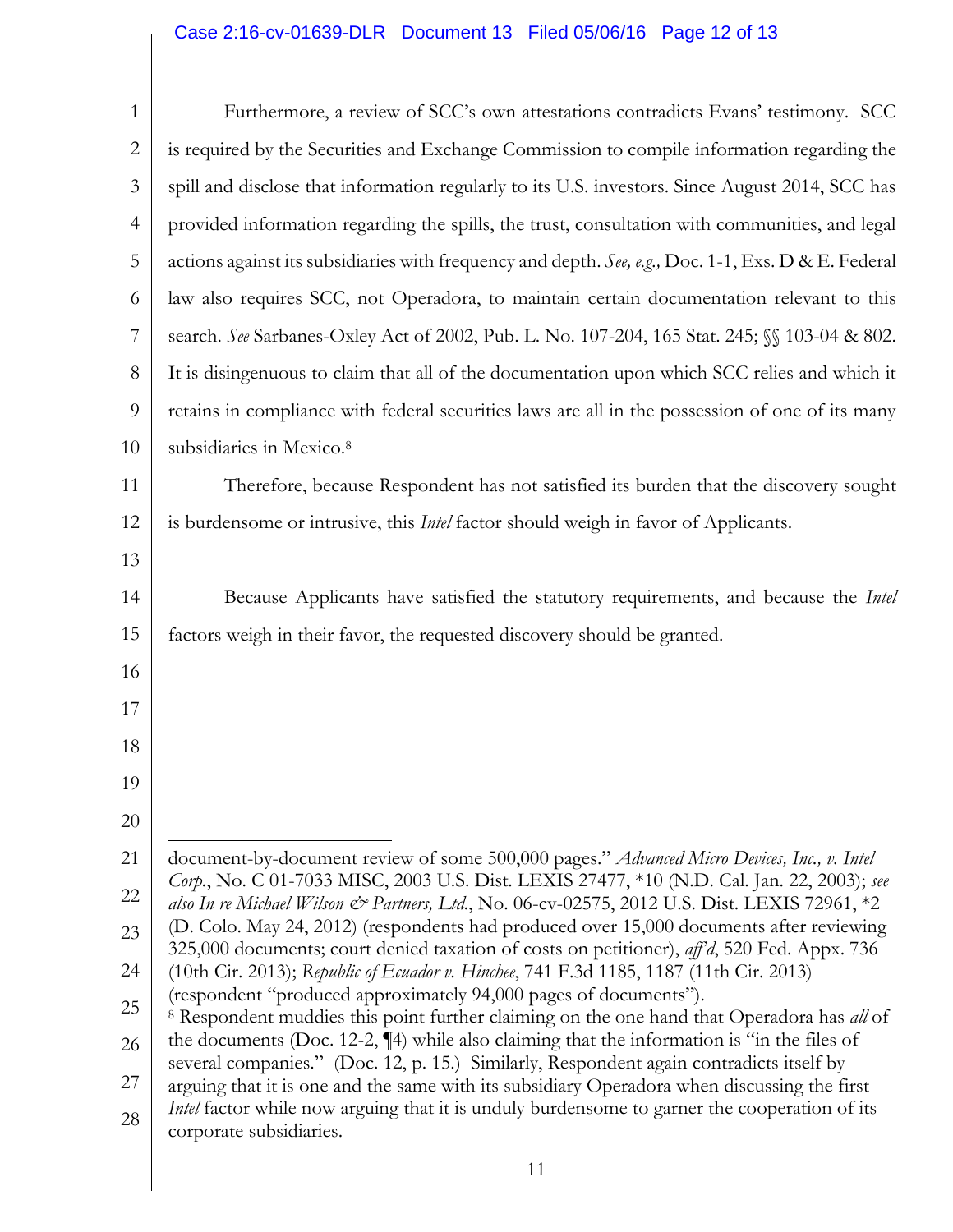## Case 2:16-cv-01639-DLR Document 13 Filed 05/06/16 Page 12 of 13

║

| $\mathbf{1}$   | Furthermore, a review of SCC's own attestations contradicts Evans' testimony. SCC                                                                                                          |
|----------------|--------------------------------------------------------------------------------------------------------------------------------------------------------------------------------------------|
| $\overline{2}$ | is required by the Securities and Exchange Commission to compile information regarding the                                                                                                 |
| 3              | spill and disclose that information regularly to its U.S. investors. Since August 2014, SCC has                                                                                            |
| 4              | provided information regarding the spills, the trust, consultation with communities, and legal                                                                                             |
| 5              | actions against its subsidiaries with frequency and depth. See, e.g., Doc. 1-1, Exs. D & E. Federal                                                                                        |
| 6              | law also requires SCC, not Operadora, to maintain certain documentation relevant to this                                                                                                   |
| 7              | search. See Sarbanes-Oxley Act of 2002, Pub. L. No. 107-204, 165 Stat. 245; §§ 103-04 & 802.                                                                                               |
| 8              | It is disingenuous to claim that all of the documentation upon which SCC relies and which it                                                                                               |
| 9              | retains in compliance with federal securities laws are all in the possession of one of its many                                                                                            |
| 10             | subsidiaries in Mexico. <sup>8</sup>                                                                                                                                                       |
| 11             | Therefore, because Respondent has not satisfied its burden that the discovery sought                                                                                                       |
| 12             | is burdensome or intrusive, this <i>Intel</i> factor should weigh in favor of Applicants.                                                                                                  |
| 13             |                                                                                                                                                                                            |
| 14             | Because Applicants have satisfied the statutory requirements, and because the Intel                                                                                                        |
| 15             | factors weigh in their favor, the requested discovery should be granted.                                                                                                                   |
| 16             |                                                                                                                                                                                            |
| 17             |                                                                                                                                                                                            |
| 18             |                                                                                                                                                                                            |
| 19             |                                                                                                                                                                                            |
| 20             |                                                                                                                                                                                            |
| 21             | document-by-document review of some 500,000 pages." Advanced Micro Devices, Inc., v. Intel                                                                                                 |
| 22             | Corp., No. C 01-7033 MISC, 2003 U.S. Dist. LEXIS 27477, *10 (N.D. Cal. Jan. 22, 2003); see<br>also In re Michael Wilson & Partners, Ltd., No. 06-cv-02575, 2012 U.S. Dist. LEXIS 72961, *2 |
| 23             | (D. Colo. May 24, 2012) (respondents had produced over 15,000 documents after reviewing<br>325,000 documents; court denied taxation of costs on petitioner), aff'd, 520 Fed. Appx. 736     |
| 24             | (10th Cir. 2013); Republic of Ecuador v. Hinchee, 741 F.3d 1185, 1187 (11th Cir. 2013)                                                                                                     |
| 25             | (respondent "produced approximately 94,000 pages of documents").<br><sup>8</sup> Respondent muddies this point further claiming on the one hand that Operadora has all of                  |
| 26             | the documents (Doc. 12-2, $\P$ 4) while also claiming that the information is "in the files of<br>several companies." (Doc. 12, p. 15.) Similarly, Respondent again contradicts itself by  |
| 27             | arguing that it is one and the same with its subsidiary Operadora when discussing the first                                                                                                |
| 28             | <i>Intel</i> factor while now arguing that it is unduly burdensome to garner the cooperation of its<br>corporate subsidiaries.                                                             |
|                |                                                                                                                                                                                            |